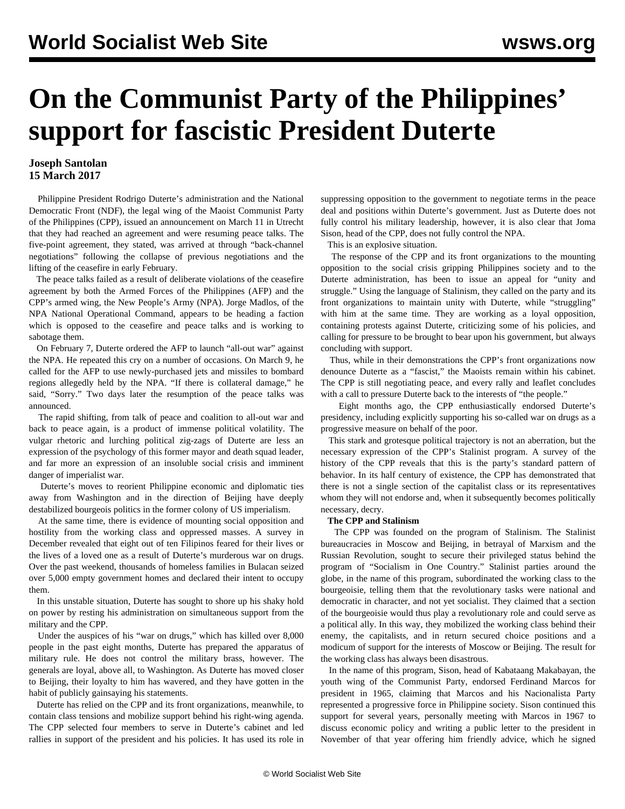# **On the Communist Party of the Philippines' support for fascistic President Duterte**

### **Joseph Santolan 15 March 2017**

 Philippine President Rodrigo Duterte's administration and the National Democratic Front (NDF), the legal wing of the Maoist Communist Party of the Philippines (CPP), issued an announcement on March 11 in Utrecht that they had reached an agreement and were resuming peace talks. The five-point agreement, they stated, was arrived at through "back-channel negotiations" following the collapse of previous negotiations and the lifting of the ceasefire in early February.

 The peace talks failed as a result of deliberate violations of the ceasefire agreement by both the Armed Forces of the Philippines (AFP) and the CPP's armed wing, the New People's Army (NPA). Jorge Madlos, of the NPA National Operational Command, appears to be heading a faction which is opposed to the ceasefire and peace talks and is working to [sabotage](/en/articles/2017/02/08/phil-f08.html) them.

 On February 7, Duterte ordered the AFP to launch "all-out war" against the NPA. He repeated this cry on a number of occasions. On March 9, he called for the AFP to use newly-purchased jets and missiles to bombard regions allegedly held by the NPA. "If there is collateral damage," he said, "Sorry." Two days later the resumption of the peace talks was announced.

 The rapid shifting, from talk of peace and coalition to all-out war and back to peace again, is a product of immense political volatility. The vulgar rhetoric and lurching political zig-zags of Duterte are less an expression of the psychology of this former mayor and death squad leader, and far more an expression of an insoluble social crisis and imminent danger of imperialist war.

 Duterte's moves to reorient Philippine economic and diplomatic ties away from Washington and in the direction of Beijing have deeply destabilized bourgeois politics in the former colony of US imperialism.

 At the same time, there is evidence of mounting social opposition and hostility from the working class and oppressed masses. A survey in December revealed that eight out of ten Filipinos feared for their lives or the lives of a loved one as a result of Duterte's murderous war on drugs. Over the past weekend, thousands of homeless families in Bulacan seized over 5,000 empty government homes and declared their intent to occupy them.

 In this unstable situation, Duterte has sought to shore up his shaky hold on power by resting his administration on simultaneous support from the military and the CPP.

 Under the auspices of his "war on drugs," which has killed over 8,000 people in the past eight months, Duterte has prepared the apparatus of military rule. He does not control the military brass, however. The generals are loyal, above all, to Washington. As Duterte has moved closer to Beijing, their loyalty to him has wavered, and they have gotten in the habit of publicly gainsaying his statements.

 Duterte has relied on the CPP and its front organizations, meanwhile, to contain class tensions and mobilize support behind his right-wing agenda. The CPP selected four members to serve in Duterte's cabinet and led rallies in support of the president and his policies. It has used its role in suppressing opposition to the government to negotiate terms in the peace deal and positions within Duterte's government. Just as Duterte does not fully control his military leadership, however, it is also clear that Joma Sison, head of the CPP, does not fully control the NPA.

This is an explosive situation.

 The response of the CPP and its front organizations to the mounting opposition to the social crisis gripping Philippines society and to the Duterte administration, has been to issue an appeal for "unity and struggle." Using the language of Stalinism, they called on the party and its front organizations to maintain unity with Duterte, while "struggling" with him at the same time. They are working as a loyal opposition, containing protests against Duterte, criticizing some of his policies, and calling for pressure to be brought to bear upon his government, but always concluding with support.

 Thus, while in their demonstrations the CPP's front organizations now denounce Duterte as a "fascist," the Maoists remain within his cabinet. The CPP is still negotiating peace, and every rally and leaflet concludes with a call to pressure Duterte back to the interests of "the people."

 Eight months ago, the CPP enthusiastically endorsed Duterte's presidency, including explicitly supporting his so-called war on drugs as a progressive measure on behalf of the poor.

 This stark and grotesque political trajectory is not an aberration, but the necessary expression of the CPP's Stalinist program. A survey of the history of the CPP reveals that this is the party's standard pattern of behavior. In its half century of existence, the CPP has demonstrated that there is not a single section of the capitalist class or its representatives whom they will not endorse and, when it subsequently becomes politically necessary, decry.

#### **The CPP and Stalinism**

 The CPP was founded on the program of Stalinism. The Stalinist bureaucracies in Moscow and Beijing, in betrayal of Marxism and the Russian Revolution, sought to secure their privileged status behind the program of "Socialism in One Country." Stalinist parties around the globe, in the name of this program, subordinated the working class to the bourgeoisie, telling them that the revolutionary tasks were national and democratic in character, and not yet socialist. They claimed that a section of the bourgeoisie would thus play a revolutionary role and could serve as a political ally. In this way, they mobilized the working class behind their enemy, the capitalists, and in return secured choice positions and a modicum of support for the interests of Moscow or Beijing. The result for the working class has always been disastrous.

 In the name of this program, Sison, head of Kabataang Makabayan, the youth wing of the Communist Party, endorsed Ferdinand Marcos for president in 1965, claiming that Marcos and his Nacionalista Party represented a progressive force in Philippine society. Sison continued this support for several years, personally meeting with Marcos in 1967 to discuss economic policy and writing a public letter to the president in November of that year offering him friendly advice, which he signed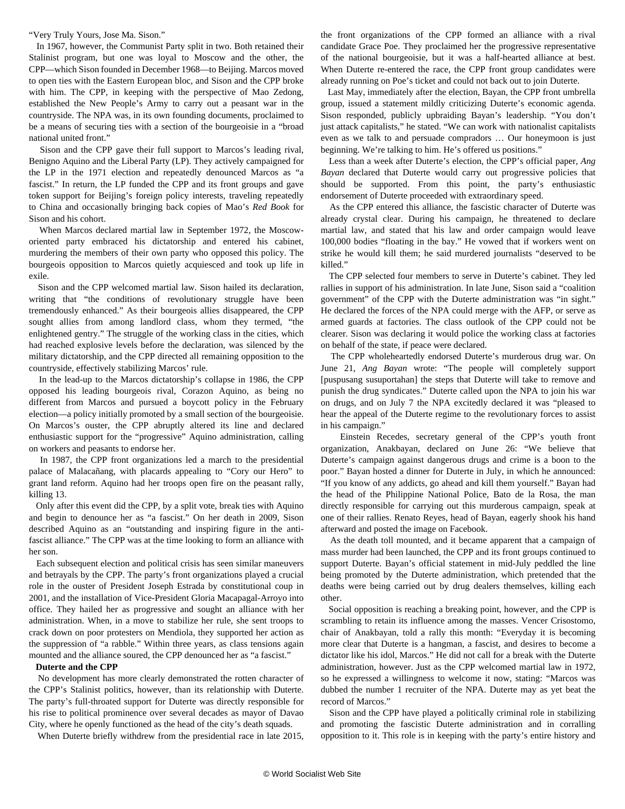"Very Truly Yours, Jose Ma. Sison."

 In 1967, however, the Communist Party split in two. Both retained their Stalinist program, but one was loyal to Moscow and the other, the CPP—which Sison founded in December 1968—to Beijing. Marcos moved to open ties with the Eastern European bloc, and Sison and the CPP broke with him. The CPP, in keeping with the perspective of Mao Zedong, established the New People's Army to carry out a peasant war in the countryside. The NPA was, in its own founding documents, proclaimed to be a means of securing ties with a section of the bourgeoisie in a "broad national united front."

 Sison and the CPP gave their full support to Marcos's leading rival, Benigno Aquino and the Liberal Party (LP). They actively campaigned for the LP in the 1971 election and repeatedly denounced Marcos as "a fascist." In return, the LP funded the CPP and its front groups and gave token support for Beijing's foreign policy interests, traveling repeatedly to China and occasionally bringing back copies of Mao's *Red Book* for Sison and his cohort.

 When Marcos declared martial law in September 1972, the Moscoworiented party embraced his dictatorship and entered his cabinet, murdering the members of their own party who opposed this policy. The bourgeois opposition to Marcos quietly acquiesced and took up life in exile.

 Sison and the CPP welcomed martial law. Sison hailed its declaration, writing that "the conditions of revolutionary struggle have been tremendously enhanced." As their bourgeois allies disappeared, the CPP sought allies from among landlord class, whom they termed, "the enlightened gentry." The struggle of the working class in the cities, which had reached explosive levels before the declaration, was silenced by the military dictatorship, and the CPP directed all remaining opposition to the countryside, effectively stabilizing Marcos' rule.

 In the lead-up to the Marcos dictatorship's collapse in 1986, the CPP opposed his leading bourgeois rival, Corazon Aquino, as being no different from Marcos and pursued a boycott policy in the February election—a policy initially promoted by a small section of the bourgeoisie. On Marcos's ouster, the CPP abruptly altered its line and declared enthusiastic support for the "progressive" Aquino administration, calling on workers and peasants to endorse her.

 In 1987, the CPP front organizations led a march to the presidential palace of Malacañang, with placards appealing to "Cory our Hero" to grant land reform. Aquino had her troops [open fire](/en/articles/2012/01/phil-j23.html) on the peasant rally, killing 13.

 Only after this event did the CPP, by a split vote, break ties with Aquino and begin to denounce her as "a fascist." On her death in 2009, Sison described Aquino as an "outstanding and inspiring figure in the antifascist alliance." The CPP was at the time looking to form an alliance with her son.

 Each subsequent election and political crisis has seen similar maneuvers and betrayals by the CPP. The party's front organizations played a crucial role in the ouster of President Joseph Estrada by constitutional coup in 2001, and the installation of Vice-President Gloria Macapagal-Arroyo into office. They hailed her as progressive and sought an alliance with her administration. When, in a move to stabilize her rule, she sent troops to crack down on poor protesters on Mendiola, they supported her action as the suppression of "a rabble." Within three years, as class tensions again mounted and the alliance soured, the CPP denounced her as "a fascist."

#### **Duterte and the CPP**

 No development has more clearly demonstrated the rotten character of the CPP's Stalinist politics, however, than its relationship with Duterte. The party's full-throated support for Duterte was directly responsible for his rise to political prominence over several decades as mayor of Davao City, where he openly functioned as the head of the city's death squads.

When Duterte briefly withdrew from the presidential race in late 2015,

the front organizations of the CPP formed an alliance with a rival candidate Grace Poe. They proclaimed her the progressive representative of the national bourgeoisie, but it was a half-hearted alliance at best. When Duterte re-entered the race, the CPP front group candidates were already running on Poe's ticket and could not back out to join Duterte.

 Last May, immediately after the election, Bayan, the CPP front umbrella group, issued a statement mildly criticizing Duterte's economic agenda. Sison responded, publicly upbraiding Bayan's leadership. "You don't just attack capitalists," he stated. "We can work with nationalist capitalists even as we talk to and persuade compradors … Our honeymoon is just beginning. We're talking to him. He's offered us positions."

 Less than a week after Duterte's election, the CPP's official paper, *Ang Bayan* declared that Duterte would carry out progressive policies that should be supported. From this point, the party's enthusiastic endorsement of Duterte proceeded with extraordinary speed.

 As the CPP entered this alliance, the fascistic character of Duterte was already crystal clear. During his campaign, he threatened to declare martial law, and stated that his law and order campaign would leave 100,000 bodies "floating in the bay." He vowed that if workers went on strike he would kill them; he said murdered journalists "deserved to be killed."

 The CPP selected four members to serve in Duterte's cabinet. They led rallies in support of his administration. In late June, Sison said a "coalition government" of the CPP with the Duterte administration was "in sight." He declared the forces of the NPA could merge with the AFP, or serve as armed guards at factories. The class outlook of the CPP could not be clearer. Sison was declaring it would police the working class at factories on behalf of the state, if peace were declared.

 The CPP wholeheartedly endorsed Duterte's murderous drug war. On June 21, *Ang Bayan* wrote: "The people will completely support [puspusang susuportahan] the steps that Duterte will take to remove and punish the drug syndicates." Duterte called upon the NPA to join his war on drugs, and on July 7 the NPA excitedly declared it was "pleased to hear the appeal of the Duterte regime to the revolutionary forces to assist in his campaign."

 Einstein Recedes, secretary general of the CPP's youth front organization, Anakbayan, declared on June 26: "We believe that Duterte's campaign against dangerous drugs and crime is a boon to the poor." Bayan hosted a dinner for Duterte in July, in which he announced: "If you know of any addicts, go ahead and kill them yourself." Bayan had the head of the Philippine National Police, Bato de la Rosa, the man directly responsible for carrying out this murderous campaign, speak at one of their rallies. Renato Reyes, head of Bayan, eagerly shook his hand afterward and posted the image on Facebook.

 As the death toll mounted, and it became apparent that a campaign of mass murder had been launched, the CPP and its front groups continued to support Duterte. Bayan's official statement in mid-July peddled the line being promoted by the Duterte administration, which pretended that the deaths were being carried out by drug dealers themselves, killing each other.

 Social opposition is reaching a breaking point, however, and the CPP is scrambling to retain its influence among the masses. Vencer Crisostomo, chair of Anakbayan, told a rally this month: "Everyday it is becoming more clear that Duterte is a hangman, a fascist, and desires to become a dictator like his idol, Marcos." He did not call for a break with the Duterte administration, however. Just as the CPP welcomed martial law in 1972, so he expressed a willingness to welcome it now, stating: "Marcos was dubbed the number 1 recruiter of the NPA. Duterte may as yet beat the record of Marcos."

 Sison and the CPP have played a politically criminal role in stabilizing and promoting the fascistic Duterte administration and in corralling opposition to it. This role is in keeping with the party's entire history and